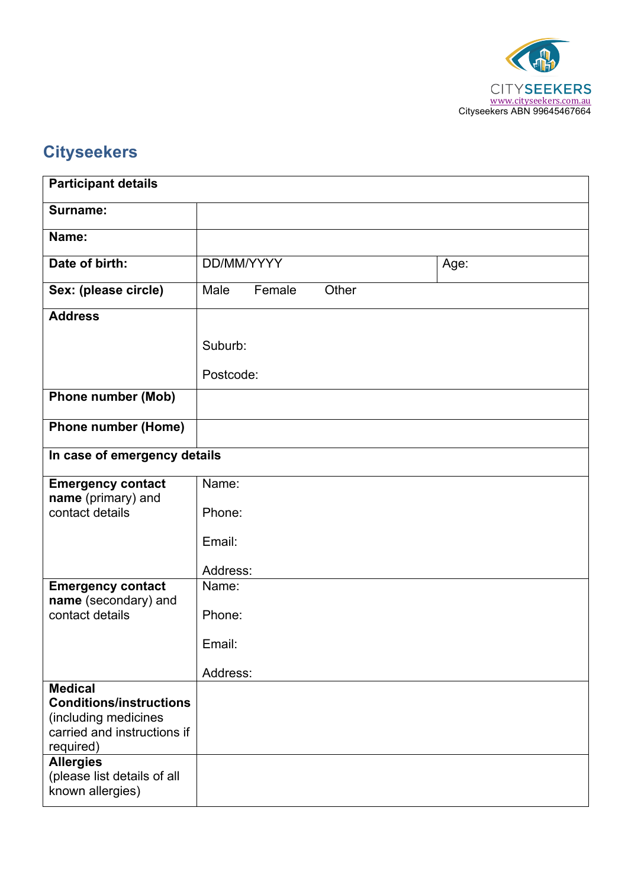

# **Cityseekers**

| <b>Participant details</b>                          |                                     |        |       |  |  |  |
|-----------------------------------------------------|-------------------------------------|--------|-------|--|--|--|
| Surname:                                            |                                     |        |       |  |  |  |
| Name:                                               |                                     |        |       |  |  |  |
| Date of birth:                                      | DD/MM/YYYY<br>Age:                  |        |       |  |  |  |
| Sex: (please circle)                                | Male                                | Female | Other |  |  |  |
| <b>Address</b>                                      |                                     |        |       |  |  |  |
|                                                     | Suburb:                             |        |       |  |  |  |
|                                                     | Postcode:                           |        |       |  |  |  |
| <b>Phone number (Mob)</b>                           |                                     |        |       |  |  |  |
| <b>Phone number (Home)</b>                          |                                     |        |       |  |  |  |
| In case of emergency details                        |                                     |        |       |  |  |  |
|                                                     |                                     |        |       |  |  |  |
| <b>Emergency contact</b>                            | Name:                               |        |       |  |  |  |
| name (primary) and<br>contact details               | Phone:                              |        |       |  |  |  |
|                                                     | Email:<br>Address:                  |        |       |  |  |  |
|                                                     |                                     |        |       |  |  |  |
|                                                     |                                     |        |       |  |  |  |
| <b>Emergency contact</b>                            | Name:                               |        |       |  |  |  |
| name (secondary) and                                | contact details<br>Phone:<br>Email: |        |       |  |  |  |
|                                                     |                                     |        |       |  |  |  |
|                                                     |                                     |        |       |  |  |  |
|                                                     | Address:                            |        |       |  |  |  |
| <b>Medical</b>                                      |                                     |        |       |  |  |  |
| <b>Conditions/instructions</b>                      |                                     |        |       |  |  |  |
| (including medicines<br>carried and instructions if |                                     |        |       |  |  |  |
| required)                                           |                                     |        |       |  |  |  |
| <b>Allergies</b>                                    |                                     |        |       |  |  |  |
| (please list details of all                         |                                     |        |       |  |  |  |
| known allergies)                                    |                                     |        |       |  |  |  |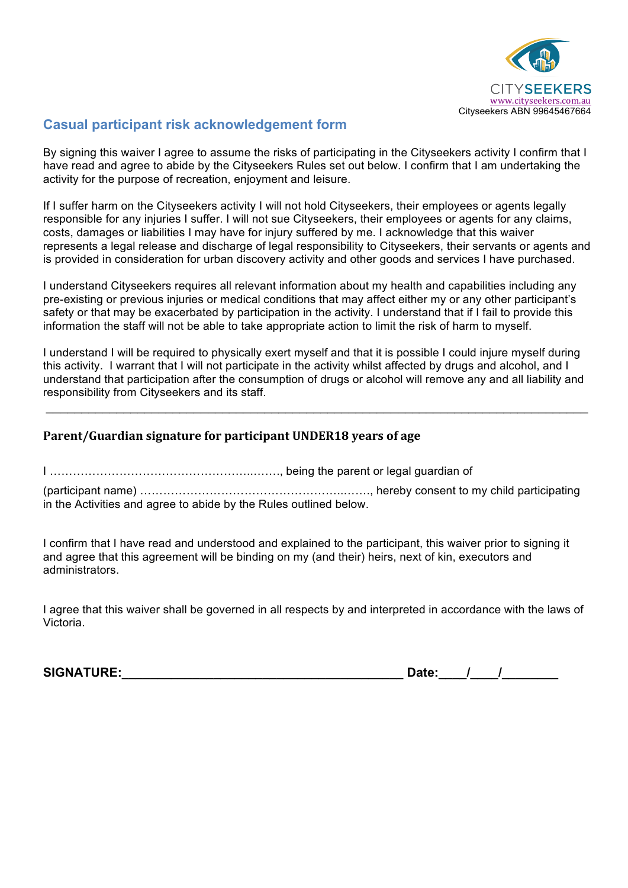

### **Casual participant risk acknowledgement form**

By signing this waiver I agree to assume the risks of participating in the Cityseekers activity I confirm that I have read and agree to abide by the Cityseekers Rules set out below. I confirm that I am undertaking the activity for the purpose of recreation, enjoyment and leisure.

If I suffer harm on the Cityseekers activity I will not hold Cityseekers, their employees or agents legally responsible for any injuries I suffer. I will not sue Cityseekers, their employees or agents for any claims, costs, damages or liabilities I may have for injury suffered by me. I acknowledge that this waiver represents a legal release and discharge of legal responsibility to Cityseekers, their servants or agents and is provided in consideration for urban discovery activity and other goods and services I have purchased.

I understand Cityseekers requires all relevant information about my health and capabilities including any pre-existing or previous injuries or medical conditions that may affect either my or any other participant's safety or that may be exacerbated by participation in the activity. I understand that if I fail to provide this information the staff will not be able to take appropriate action to limit the risk of harm to myself.

I understand I will be required to physically exert myself and that it is possible I could injure myself during this activity. I warrant that I will not participate in the activity whilst affected by drugs and alcohol, and I understand that participation after the consumption of drugs or alcohol will remove any and all liability and responsibility from Cityseekers and its staff.

 $\_$ 

#### **Parent/Guardian signature for participant UNDER18 years of age**

I ……………………………………………..……., being the parent or legal guardian of

(participant name) ……………………………………………..……., hereby consent to my child participating in the Activities and agree to abide by the Rules outlined below.

I confirm that I have read and understood and explained to the participant, this waiver prior to signing it and agree that this agreement will be binding on my (and their) heirs, next of kin, executors and administrators.

I agree that this waiver shall be governed in all respects by and interpreted in accordance with the laws of Victoria.

**SIGNATURE:\_\_\_\_\_\_\_\_\_\_\_\_\_\_\_\_\_\_\_\_\_\_\_\_\_\_\_\_\_\_\_\_\_\_\_\_\_\_\_\_ Date:\_\_\_\_/\_\_\_\_/\_\_\_\_\_\_\_\_**